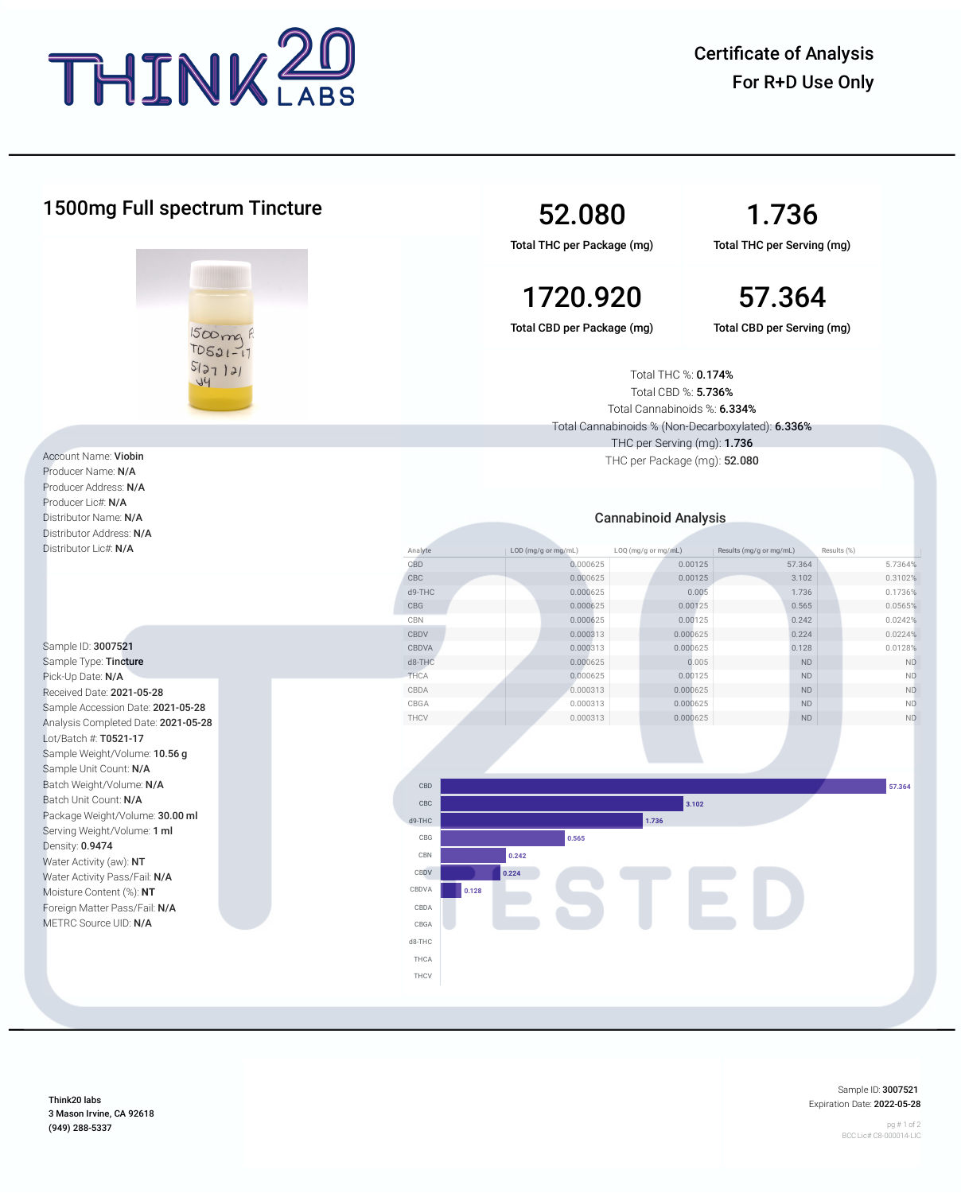

| 1500mg Full spectrum Tincture<br>1500mg R<br>$TDSQ1-11$<br>5127121<br>44                                                                        |  |                | 52.080<br>Total THC per Package (mg)                                                                                            | 1.736<br>Total THC per Serving (mg)        |                  |  |
|-------------------------------------------------------------------------------------------------------------------------------------------------|--|----------------|---------------------------------------------------------------------------------------------------------------------------------|--------------------------------------------|------------------|--|
|                                                                                                                                                 |  |                | 1720.920                                                                                                                        |                                            | 57.364           |  |
|                                                                                                                                                 |  |                | Total CBD per Package (mg)                                                                                                      | Total CBD per Serving (mg)                 |                  |  |
|                                                                                                                                                 |  |                | Total THC %: 0.174%<br>Total CBD %: 5.736%<br>Total Cannabinoids %: 6.334%<br>Total Cannabinoids % (Non-Decarboxylated): 6.336% |                                            |                  |  |
| Account Name: Viobin                                                                                                                            |  |                | THC per Serving (mg): 1.736<br>THC per Package (mg): 52.080                                                                     |                                            |                  |  |
| Producer Name: N/A<br>Producer Address: N/A<br>Producer Lic#: N/A<br>Distributor Name: N/A<br>Distributor Address: N/A<br>Distributor Lic#: N/A |  |                | <b>Cannabinoid Analysis</b>                                                                                                     |                                            |                  |  |
|                                                                                                                                                 |  |                |                                                                                                                                 |                                            |                  |  |
|                                                                                                                                                 |  | Analyte        | LOD (mg/g or mg/mL)<br>LOQ (mg/g or mg/mL)                                                                                      | Results (mg/g or mg/mL)                    | Results (%)      |  |
|                                                                                                                                                 |  | CBD            | 0.000625                                                                                                                        | 0.00125<br>57.364                          | 5.7364%          |  |
|                                                                                                                                                 |  | CBC            | 0.000625                                                                                                                        | 0.00125<br>3.102                           | 0.3102%          |  |
|                                                                                                                                                 |  | d9-THC         | 0.000625                                                                                                                        | 0.005<br>1.736                             | 0.1736%          |  |
|                                                                                                                                                 |  | CBG            | 0.000625                                                                                                                        | 0.00125<br>0.565                           | 0.0565%          |  |
|                                                                                                                                                 |  | CBN            | 0.000625                                                                                                                        | 0.00125<br>0.242                           | 0.0242%          |  |
|                                                                                                                                                 |  | CBDV           | 0.000313                                                                                                                        | 0.000625<br>0.224                          | 0.0224%          |  |
| Sample ID: 3007521                                                                                                                              |  | CBDVA          | 0.000313                                                                                                                        | 0.000625<br>0.128                          | 0.0128%          |  |
| Sample Type: Tincture                                                                                                                           |  | d8-THC<br>THCA | 0.000625<br>0.000625                                                                                                            | 0.005<br><b>ND</b><br>0.00125<br><b>ND</b> | <b>ND</b><br>ND. |  |
| Pick-Up Date: N/A                                                                                                                               |  | CBDA           | 0.000313                                                                                                                        | 0.000625<br>ND                             | <b>ND</b>        |  |
| Received Date: 2021-05-28<br>Sample Accession Date: 2021-05-28                                                                                  |  | CBGA           | 0.000313                                                                                                                        | 0.000625<br>$\mathsf{ND}$                  | $\mathsf{ND}$    |  |
| Analysis Completed Date: 2021-05-28                                                                                                             |  | THCV           | 0.000313                                                                                                                        | 0.000625<br>ND                             | ND.              |  |
| Lot/Batch #: T0521-17                                                                                                                           |  |                |                                                                                                                                 |                                            |                  |  |
| Sample Weight/Volume: 10.56 g                                                                                                                   |  |                |                                                                                                                                 |                                            |                  |  |
| Sample Unit Count: N/A                                                                                                                          |  |                |                                                                                                                                 |                                            |                  |  |
| Batch Weight/Volume: N/A                                                                                                                        |  | CBD            |                                                                                                                                 |                                            | 57.364           |  |
| Batch Unit Count: N/A<br>Package Weight/Volume: 30.00 ml<br>Serving Weight/Volume: 1 ml<br>Density: 0.9474                                      |  | CBC            |                                                                                                                                 | 3.102                                      |                  |  |
|                                                                                                                                                 |  |                |                                                                                                                                 |                                            |                  |  |
|                                                                                                                                                 |  | d9-THC         | 1.736                                                                                                                           |                                            |                  |  |
|                                                                                                                                                 |  | CBG            | 0.565                                                                                                                           |                                            |                  |  |
| Water Activity (aw): NT                                                                                                                         |  | CBN            | 0.242                                                                                                                           |                                            |                  |  |
| Water Activity Pass/Fail: N/A                                                                                                                   |  | CBDV           | 0.224                                                                                                                           |                                            |                  |  |
| Moisture Content (%): NT                                                                                                                        |  | CBDVA<br>0.128 |                                                                                                                                 |                                            |                  |  |
| Foreign Matter Pass/Fail: N/A                                                                                                                   |  | CBDA           |                                                                                                                                 |                                            |                  |  |
| METRC Source UID: N/A                                                                                                                           |  | CBGA           |                                                                                                                                 |                                            |                  |  |
|                                                                                                                                                 |  | d8-THC         |                                                                                                                                 |                                            |                  |  |
|                                                                                                                                                 |  |                |                                                                                                                                 |                                            |                  |  |
|                                                                                                                                                 |  | THCA           |                                                                                                                                 |                                            |                  |  |
|                                                                                                                                                 |  | THCV           |                                                                                                                                 |                                            |                  |  |

Think20 labs 3 Mason Irvine, CA 92618 (949) 288-5337

Sample ID: 3007521 Expiration Date: 2022-05-28